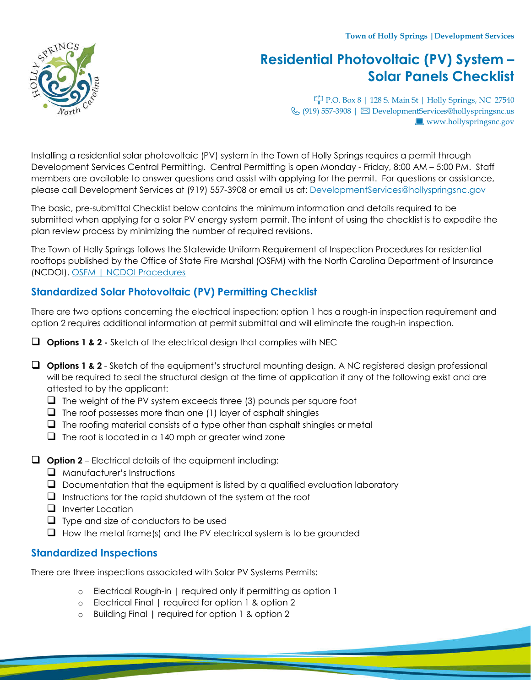**Town of Holly Springs |Development Services**

# **Residential Photovoltaic (PV) System – Solar Panels Checklist**

P.O. Box 8 | 128 S. Main St | Holly Springs, NC 27540  $\mathcal{L}$  (919) 557-3908 |  $\boxtimes$  DevelopmentServices@hollyspringsnc.us www.hollyspringsnc.gov

Installing a residential solar photovoltaic (PV) system in the Town of Holly Springs requires a permit through Development Services Central Permitting. Central Permitting is open Monday - Friday, 8:00 AM – 5:00 PM. Staff members are available to answer questions and assist with applying for the permit. For questions or assistance, please call Development Services at (919) 557-3908 or email us at: DevelopmentServices@hollyspringsnc.gov

The basic, pre-submittal Checklist below contains the minimum information and details required to be submitted when applying for a solar PV energy system permit. The intent of using the checklist is to expedite the plan review process by minimizing the number of required revisions.

The Town of Holly Springs follows the Statewide Uniform Requirement of Inspection Procedures for residential rooftops published by the Office of State Fire Marshal (OSFM) with the North Carolina Department of Insurance (NCDOI). [OSFM | NCDOI Procedures](https://www.ncosfm.gov/media/897/open)

# **Standardized Solar Photovoltaic (PV) Permitting Checklist**

There are two options concerning the electrical inspection; option 1 has a rough-in inspection requirement and option 2 requires additional information at permit submittal and will eliminate the rough-in inspection.

- **Options 1 & 2 -** Sketch of the electrical design that complies with NEC
- **Options 1 & 2** Sketch of the equipment's structural mounting design. A NC registered design professional will be required to seal the structural design at the time of application if any of the following exist and are attested to by the applicant:
	- $\Box$  The weight of the PV system exceeds three (3) pounds per square foot
	- $\Box$  The roof possesses more than one (1) layer of asphalt shingles
	- $\Box$  The roofing material consists of a type other than asphalt shingles or metal
	- $\Box$  The roof is located in a 140 mph or greater wind zone
- **Option 2** Electrical details of the equipment including:
	- $\Box$  Manufacturer's Instructions
	- $\Box$  Documentation that the equipment is listed by a qualified evaluation laboratory
	- $\Box$  Instructions for the rapid shutdown of the system at the roof
	- $\Box$  Inverter Location
	- $\Box$  Type and size of conductors to be used
	- $\Box$  How the metal frame(s) and the PV electrical system is to be grounded

# **Standardized Inspections**

There are three inspections associated with Solar PV Systems Permits:

- o Electrical Rough-in | required only if permitting as option 1
- o Electrical Final | required for option 1 & option 2
- o Building Final | required for option 1 & option 2